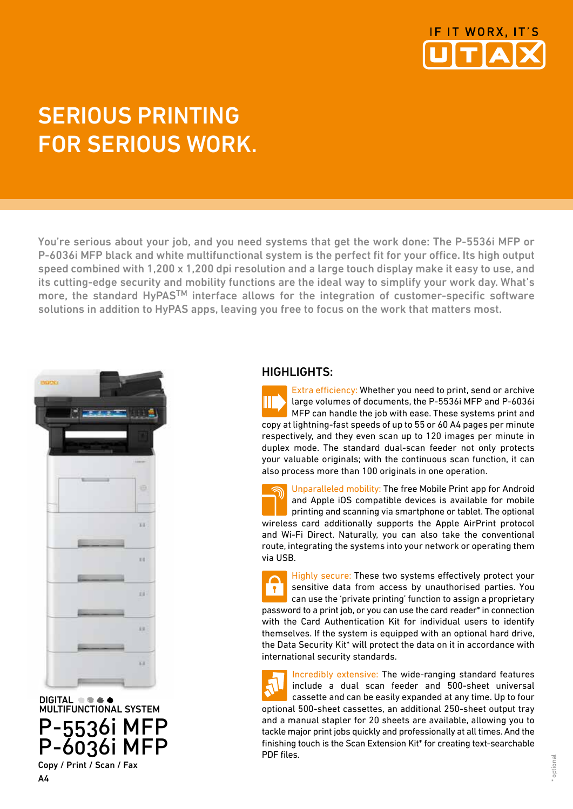

# SERIOUS PRINTING FOR SERIOUS WORK.

You're serious about your job, and you need systems that get the work done: The P-5536i MFP or P-6036i MFP black and white multifunctional system is the perfect fit for your office. Its high output speed combined with 1,200 x 1,200 dpi resolution and a large touch display make it easy to use, and its cutting-edge security and mobility functions are the ideal way to simplify your work day. What's more, the standard HyPASTM interface allows for the integration of customer-specific software solutions in addition to HyPAS apps, leaving you free to focus on the work that matters most.



DIGITAL **the ad**  MULTIFUNCTIONAL SYSTEM P-5536i MFP P-6036i MFP Copy / Print / Scan / Fax

## HIGHLIGHTS:

Extra efficiency: Whether you need to print, send or archive Ш large volumes of documents, the P-5536i MFP and P-6036i MFP can handle the job with ease. These systems print and copy at lightning-fast speeds of up to 55 or 60 A4 pages per minute respectively, and they even scan up to 120 images per minute in duplex mode. The standard dual-scan feeder not only protects your valuable originals; with the continuous scan function, it can also process more than 100 originals in one operation.

Unparalleled mobility: The free Mobile Print app for Android and Apple iOS compatible devices is available for mobile printing and scanning via smartphone or tablet. The optional wireless card additionally supports the Apple AirPrint protocol and Wi-Fi Direct. Naturally, you can also take the conventional route, integrating the systems into your network or operating them via USB.

Highly secure: These two systems effectively protect your sensitive data from access by unauthorised parties. You  $\mathbf{P}$ can use the 'private printing' function to assign a proprietary password to a print job, or you can use the card reader\* in connection with the Card Authentication Kit for individual users to identify themselves. If the system is equipped with an optional hard drive, the Data Security Kit\* will protect the data on it in accordance with international security standards.

Incredibly extensive: The wide-ranging standard features include a dual scan feeder and 500-sheet universal cassette and can be easily expanded at any time. Up to four optional 500-sheet cassettes, an additional 250-sheet output tray and a manual stapler for 20 sheets are available, allowing you to tackle major print jobs quickly and professionally at all times. And the finishing touch is the Scan Extension Kit\* for creating text-searchable PDF files.